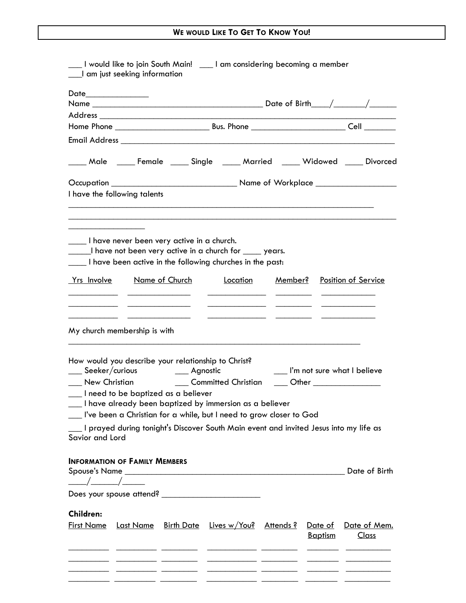| ___I am just seeking information                                                                                                                          |  |  | ___ I would like to join South Main! ____ I am considering becoming a member                                                                                                                                                                                              |                                                        |                                                                           |                                                            |  |  |
|-----------------------------------------------------------------------------------------------------------------------------------------------------------|--|--|---------------------------------------------------------------------------------------------------------------------------------------------------------------------------------------------------------------------------------------------------------------------------|--------------------------------------------------------|---------------------------------------------------------------------------|------------------------------------------------------------|--|--|
|                                                                                                                                                           |  |  |                                                                                                                                                                                                                                                                           |                                                        |                                                                           |                                                            |  |  |
|                                                                                                                                                           |  |  |                                                                                                                                                                                                                                                                           |                                                        |                                                                           |                                                            |  |  |
|                                                                                                                                                           |  |  |                                                                                                                                                                                                                                                                           |                                                        |                                                                           |                                                            |  |  |
|                                                                                                                                                           |  |  |                                                                                                                                                                                                                                                                           |                                                        |                                                                           |                                                            |  |  |
|                                                                                                                                                           |  |  |                                                                                                                                                                                                                                                                           |                                                        | ____ Male ____ Female ____ Single ____ Married ____ Widowed ____ Divorced |                                                            |  |  |
|                                                                                                                                                           |  |  |                                                                                                                                                                                                                                                                           |                                                        |                                                                           |                                                            |  |  |
| I have the following talents                                                                                                                              |  |  |                                                                                                                                                                                                                                                                           |                                                        |                                                                           |                                                            |  |  |
| I have never been very active in a church.                                                                                                                |  |  | I have not been very active in a church for we years.<br>I have been active in the following churches in the past:                                                                                                                                                        |                                                        |                                                                           |                                                            |  |  |
|                                                                                                                                                           |  |  | <u><b>Yrs Involve</b></u> Name of Church Location Member? Position of Service                                                                                                                                                                                             | <u> 1989 - Johann John Harry Barnett, fransk konge</u> |                                                                           |                                                            |  |  |
| My church membership is with                                                                                                                              |  |  |                                                                                                                                                                                                                                                                           |                                                        |                                                                           |                                                            |  |  |
| How would you describe your relationship to Christ?<br>____ Seeker/curious ______ Agnostic<br>___ New Christian<br>__ I need to be baptized as a believer |  |  | ___ Committed Christian<br>I have already been baptized by immersion as a believer<br>__ I've been a Christian for a while, but I need to grow closer to God                                                                                                              |                                                        |                                                                           | I'm not sure what I believe<br>____ Other ________________ |  |  |
| Savior and Lord                                                                                                                                           |  |  | I prayed during tonight's Discover South Main event and invited Jesus into my life as                                                                                                                                                                                     |                                                        |                                                                           |                                                            |  |  |
| <b>INFORMATION OF FAMILY MEMBERS</b><br>$\frac{1}{\sqrt{2}}$                                                                                              |  |  |                                                                                                                                                                                                                                                                           |                                                        |                                                                           |                                                            |  |  |
|                                                                                                                                                           |  |  |                                                                                                                                                                                                                                                                           |                                                        |                                                                           |                                                            |  |  |
| <b>Children:</b>                                                                                                                                          |  |  | <u>First Name Last Name Birth Date Lives w/You? Attends? Date of Date of Mem.</u><br><u> 1990 - Andrea Andrewski, američki profesor († 1900)</u><br><u> 20 de decembro de la contrada de la contrada de la contrada de la contrada de la contrada de la contrada de l</u> |                                                        | <b>Baptism</b>                                                            | <u>Class</u>                                               |  |  |
|                                                                                                                                                           |  |  | <u>. In the community of the community of the community of the community of the community of the community of the community of the community of the community of the community of the community of the community of the communit</u>                                      |                                                        |                                                                           |                                                            |  |  |